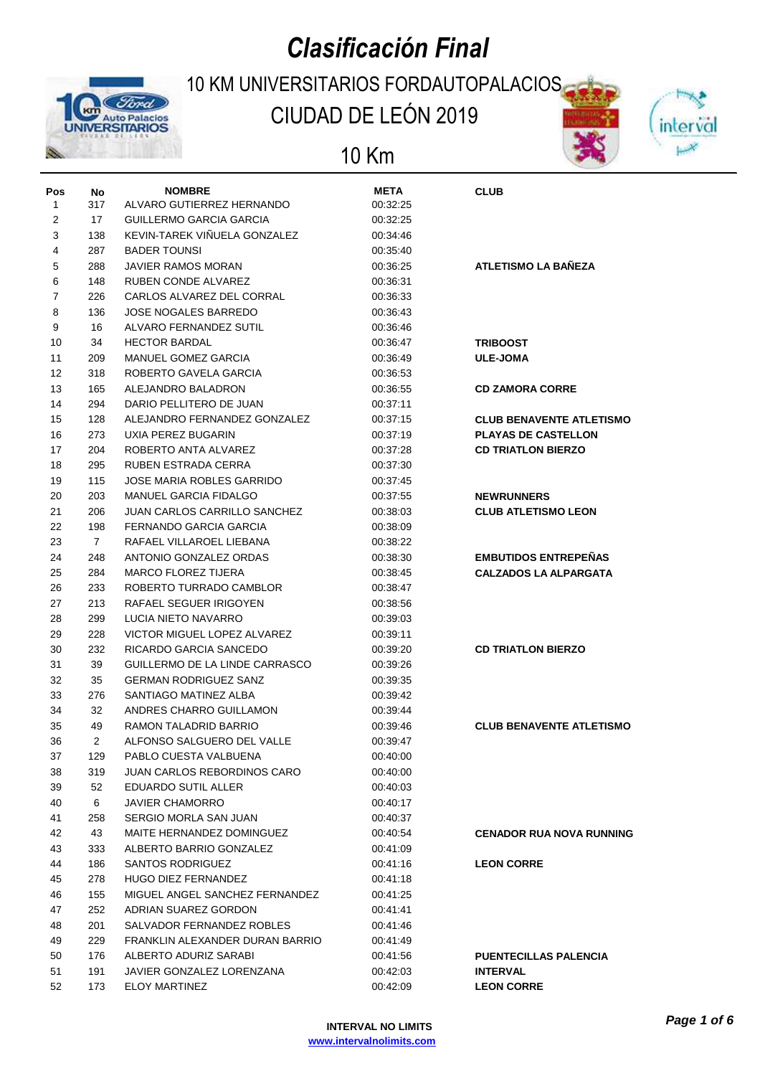# *Clasificación Final*



### 10 KM UNIVERSITARIOS FORDAUTOPALACIOS CIUDAD DE LEÓN 2019

### 10 Km

| Pos |              | <b>NOMBRE</b>                       | <b>META</b> | <b>CLUB</b>                     |
|-----|--------------|-------------------------------------|-------------|---------------------------------|
| 1   | No<br>317    | ALVARO GUTIERREZ HERNANDO           | 00:32:25    |                                 |
| 2   | 17           | <b>GUILLERMO GARCIA GARCIA</b>      | 00:32:25    |                                 |
| 3   | 138          | KEVIN-TAREK VIÑUELA GONZALEZ        | 00:34:46    |                                 |
| 4   | 287          | <b>BADER TOUNSI</b>                 | 00:35:40    |                                 |
| 5   | 288          | <b>JAVIER RAMOS MORAN</b>           | 00:36:25    | <b>ATLETISMO LA BAÑEZA</b>      |
| 6   | 148          | RUBEN CONDE ALVAREZ                 | 00:36:31    |                                 |
| 7   | 226          | CARLOS ALVAREZ DEL CORRAL           | 00:36:33    |                                 |
| 8   | 136          | <b>JOSE NOGALES BARREDO</b>         | 00:36:43    |                                 |
| 9   | 16           | ALVARO FERNANDEZ SUTIL              | 00:36:46    |                                 |
| 10  | 34           | <b>HECTOR BARDAL</b>                | 00:36:47    |                                 |
| 11  | 209          | <b>MANUEL GOMEZ GARCIA</b>          |             | <b>TRIBOOST</b>                 |
| 12  | 318          | ROBERTO GAVELA GARCIA               | 00:36:49    | <b>ULE-JOMA</b>                 |
| 13  | 165          | ALEJANDRO BALADRON                  | 00:36:53    |                                 |
|     |              |                                     | 00:36:55    | <b>CD ZAMORA CORRE</b>          |
| 14  | 294          | DARIO PELLITERO DE JUAN             | 00:37:11    |                                 |
| 15  | 128          | ALEJANDRO FERNANDEZ GONZALEZ        | 00:37:15    | <b>CLUB BENAVENTE ATLETISMO</b> |
| 16  | 273          | UXIA PEREZ BUGARIN                  | 00:37:19    | <b>PLAYAS DE CASTELLON</b>      |
| 17  | 204          | ROBERTO ANTA ALVAREZ                | 00:37:28    | <b>CD TRIATLON BIERZO</b>       |
| 18  | 295          | RUBEN ESTRADA CERRA                 | 00:37:30    |                                 |
| 19  | 115          | <b>JOSE MARIA ROBLES GARRIDO</b>    | 00:37:45    |                                 |
| 20  | 203          | <b>MANUEL GARCIA FIDALGO</b>        | 00:37:55    | <b>NEWRUNNERS</b>               |
| 21  | 206          | <b>JUAN CARLOS CARRILLO SANCHEZ</b> | 00:38:03    | <b>CLUB ATLETISMO LEON</b>      |
| 22  | 198          | FERNANDO GARCIA GARCIA              | 00:38:09    |                                 |
| 23  | $\mathbf{7}$ | RAFAEL VILLAROEL LIEBANA            | 00:38:22    |                                 |
| 24  | 248          | ANTONIO GONZALEZ ORDAS              | 00:38:30    | <b>EMBUTIDOS ENTREPEÑAS</b>     |
| 25  | 284          | <b>MARCO FLOREZ TIJERA</b>          | 00:38:45    | <b>CALZADOS LA ALPARGATA</b>    |
| 26  | 233          | ROBERTO TURRADO CAMBLOR             | 00:38:47    |                                 |
| 27  | 213          | RAFAEL SEGUER IRIGOYEN              | 00:38:56    |                                 |
| 28  | 299          | LUCIA NIETO NAVARRO                 | 00:39:03    |                                 |
| 29  | 228          | VICTOR MIGUEL LOPEZ ALVAREZ         | 00:39:11    |                                 |
| 30  | 232          | RICARDO GARCIA SANCEDO              | 00:39:20    | <b>CD TRIATLON BIERZO</b>       |
| 31  | 39           | GUILLERMO DE LA LINDE CARRASCO      | 00:39:26    |                                 |
| 32  | 35           | <b>GERMAN RODRIGUEZ SANZ</b>        | 00:39:35    |                                 |
| 33  | 276          | SANTIAGO MATINEZ ALBA               | 00:39:42    |                                 |
| 34  | 32           | ANDRES CHARRO GUILLAMON             | 00:39:44    |                                 |
| 35  | 49           | RAMON TALADRID BARRIO               | 00:39:46    | <b>CLUB BENAVENTE ATLETISMO</b> |
| 36  | 2            | ALFONSO SALGUERO DEL VALLE          | 00:39:47    |                                 |
| 37  | 129          | PABLO CUESTA VALBUENA               | 00:40:00    |                                 |
| 38  | 319          | JUAN CARLOS REBORDINOS CARO         | 00:40:00    |                                 |
| 39  | 52           | EDUARDO SUTIL ALLER                 | 00:40:03    |                                 |
| 40  | 6            | <b>JAVIER CHAMORRO</b>              | 00:40:17    |                                 |
| 41  | 258          | SERGIO MORLA SAN JUAN               | 00:40:37    |                                 |
| 42  | 43           | MAITE HERNANDEZ DOMINGUEZ           | 00:40:54    | <b>CENADOR RUA NOVA RUNNING</b> |
| 43  | 333          | ALBERTO BARRIO GONZALEZ             | 00:41:09    |                                 |
| 44  | 186          | <b>SANTOS RODRIGUEZ</b>             | 00:41:16    | <b>LEON CORRE</b>               |
| 45  | 278          | <b>HUGO DIEZ FERNANDEZ</b>          | 00:41:18    |                                 |
| 46  | 155          | MIGUEL ANGEL SANCHEZ FERNANDEZ      | 00:41:25    |                                 |
| 47  | 252          | ADRIAN SUAREZ GORDON                | 00:41:41    |                                 |
| 48  | 201          | SALVADOR FERNANDEZ ROBLES           | 00:41:46    |                                 |
| 49  | 229          | FRANKLIN ALEXANDER DURAN BARRIO     | 00:41:49    |                                 |
| 50  | 176          | ALBERTO ADURIZ SARABI               | 00:41:56    | <b>PUENTECILLAS PALENCIA</b>    |
| 51  | 191          | JAVIER GONZALEZ LORENZANA           | 00:42:03    | <b>INTERVAL</b>                 |
| 52  | 173          | <b>ELOY MARTINEZ</b>                | 00:42:09    | <b>LEON CORRE</b>               |

inter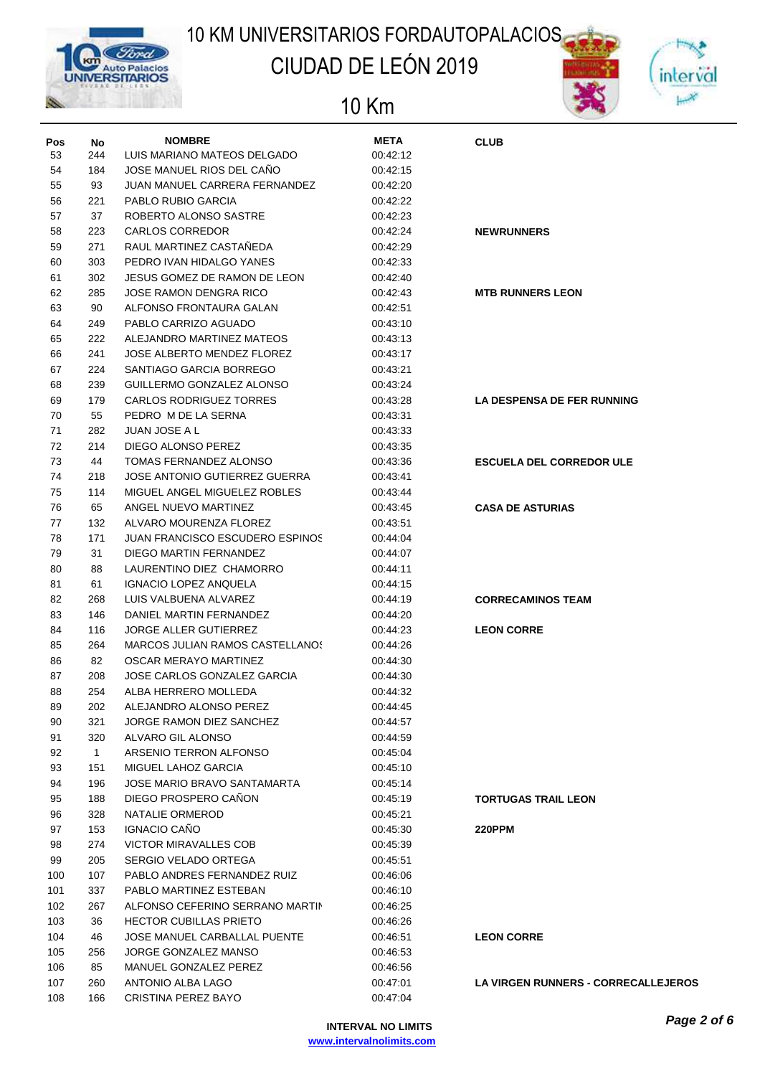

## CIUDAD DE LEÓN 2019



| Pos | No           | <b>NOMBRE</b>                          | <b>META</b> | <b>CLUB</b>                                |
|-----|--------------|----------------------------------------|-------------|--------------------------------------------|
| 53  | 244          | LUIS MARIANO MATEOS DELGADO            | 00:42:12    |                                            |
| 54  | 184          | JOSE MANUEL RIOS DEL CAÑO              | 00:42:15    |                                            |
| 55  | 93           | JUAN MANUEL CARRERA FERNANDEZ          | 00:42:20    |                                            |
| 56  | 221          | PABLO RUBIO GARCIA                     | 00:42:22    |                                            |
| 57  | 37           | ROBERTO ALONSO SASTRE                  | 00:42:23    |                                            |
| 58  | 223          | <b>CARLOS CORREDOR</b>                 | 00:42:24    | <b>NEWRUNNERS</b>                          |
| 59  | 271          | RAUL MARTINEZ CASTAÑEDA                | 00:42:29    |                                            |
| 60  | 303          | PEDRO IVAN HIDALGO YANES               | 00:42:33    |                                            |
| 61  | 302          | JESUS GOMEZ DE RAMON DE LEON           | 00:42:40    |                                            |
| 62  | 285          | JOSE RAMON DENGRA RICO                 | 00:42:43    | <b>MTB RUNNERS LEON</b>                    |
| 63  | 90           | ALFONSO FRONTAURA GALAN                | 00:42:51    |                                            |
| 64  | 249          | PABLO CARRIZO AGUADO                   | 00:43:10    |                                            |
| 65  | 222          | ALEJANDRO MARTINEZ MATEOS              | 00:43:13    |                                            |
| 66  | 241          | JOSE ALBERTO MENDEZ FLOREZ             | 00:43:17    |                                            |
| 67  | 224          | SANTIAGO GARCIA BORREGO                | 00:43:21    |                                            |
| 68  | 239          | GUILLERMO GONZALEZ ALONSO              | 00:43:24    |                                            |
| 69  | 179          | <b>CARLOS RODRIGUEZ TORRES</b>         | 00:43:28    | LA DESPENSA DE FER RUNNING                 |
| 70  | 55           | PEDRO M DE LA SERNA                    | 00:43:31    |                                            |
| 71  | 282          | JUAN JOSE A L                          | 00:43:33    |                                            |
| 72  | 214          | DIEGO ALONSO PEREZ                     | 00:43:35    |                                            |
| 73  | 44           | TOMAS FERNANDEZ ALONSO                 | 00:43:36    | <b>ESCUELA DEL CORREDOR ULE</b>            |
| 74  | 218          | JOSE ANTONIO GUTIERREZ GUERRA          | 00:43:41    |                                            |
| 75  | 114          | MIGUEL ANGEL MIGUELEZ ROBLES           | 00:43:44    |                                            |
| 76  | 65           | ANGEL NUEVO MARTINEZ                   | 00:43:45    | <b>CASA DE ASTURIAS</b>                    |
| 77  | 132          | ALVARO MOURENZA FLOREZ                 | 00:43:51    |                                            |
| 78  | 171          | <b>JUAN FRANCISCO ESCUDERO ESPINOS</b> | 00:44:04    |                                            |
| 79  | 31           | DIEGO MARTIN FERNANDEZ                 | 00:44:07    |                                            |
| 80  | 88           | LAURENTINO DIEZ CHAMORRO               | 00:44:11    |                                            |
| 81  | 61           | <b>IGNACIO LOPEZ ANQUELA</b>           | 00:44:15    |                                            |
| 82  | 268          | LUIS VALBUENA ALVAREZ                  | 00:44:19    | <b>CORRECAMINOS TEAM</b>                   |
| 83  | 146          | DANIEL MARTIN FERNANDEZ                | 00:44:20    |                                            |
| 84  | 116          | <b>JORGE ALLER GUTIERREZ</b>           | 00:44:23    | <b>LEON CORRE</b>                          |
| 85  | 264          | <b>MARCOS JULIAN RAMOS CASTELLANOS</b> | 00:44:26    |                                            |
| 86  | 82           | OSCAR MERAYO MARTINEZ                  | 00:44:30    |                                            |
| 87  | 208          | JOSE CARLOS GONZALEZ GARCIA            | 00:44:30    |                                            |
| 88  | 254          | ALBA HERRERO MOLLEDA                   | 00:44:32    |                                            |
| 89  | 202          | ALEJANDRO ALONSO PEREZ                 | 00:44:45    |                                            |
| 90  | 321          | JORGE RAMON DIEZ SANCHEZ               | 00:44:57    |                                            |
| 91  | 320          | ALVARO GIL ALONSO                      | 00:44:59    |                                            |
| 92  | $\mathbf{1}$ | ARSENIO TERRON ALFONSO                 | 00:45:04    |                                            |
| 93  | 151          | MIGUEL LAHOZ GARCIA                    | 00:45:10    |                                            |
| 94  | 196          | JOSE MARIO BRAVO SANTAMARTA            | 00:45:14    |                                            |
| 95  | 188          | DIEGO PROSPERO CAÑON                   | 00:45:19    | <b>TORTUGAS TRAIL LEON</b>                 |
| 96  | 328          | NATALIE ORMEROD                        | 00:45:21    |                                            |
| 97  | 153          | IGNACIO CAÑO                           | 00:45:30    | <b>220PPM</b>                              |
| 98  | 274          | VICTOR MIRAVALLES COB                  | 00:45:39    |                                            |
| 99  | 205          | SERGIO VELADO ORTEGA                   | 00:45:51    |                                            |
| 100 | 107          | PABLO ANDRES FERNANDEZ RUIZ            | 00:46:06    |                                            |
| 101 | 337          | PABLO MARTINEZ ESTEBAN                 | 00:46:10    |                                            |
| 102 | 267          | ALFONSO CEFERINO SERRANO MARTIN        | 00:46:25    |                                            |
| 103 | 36           | <b>HECTOR CUBILLAS PRIETO</b>          | 00:46:26    |                                            |
| 104 | 46           | JOSE MANUEL CARBALLAL PUENTE           | 00:46:51    | <b>LEON CORRE</b>                          |
| 105 | 256          | JORGE GONZALEZ MANSO                   | 00:46:53    |                                            |
| 106 | 85           | MANUEL GONZALEZ PEREZ                  | 00:46:56    |                                            |
| 107 | 260          | ANTONIO ALBA LAGO                      | 00:47:01    | <b>LA VIRGEN RUNNERS - CORRECALLEJEROS</b> |
| 108 | 166          | CRISTINA PEREZ BAYO                    | 00:47:04    |                                            |
|     |              |                                        |             |                                            |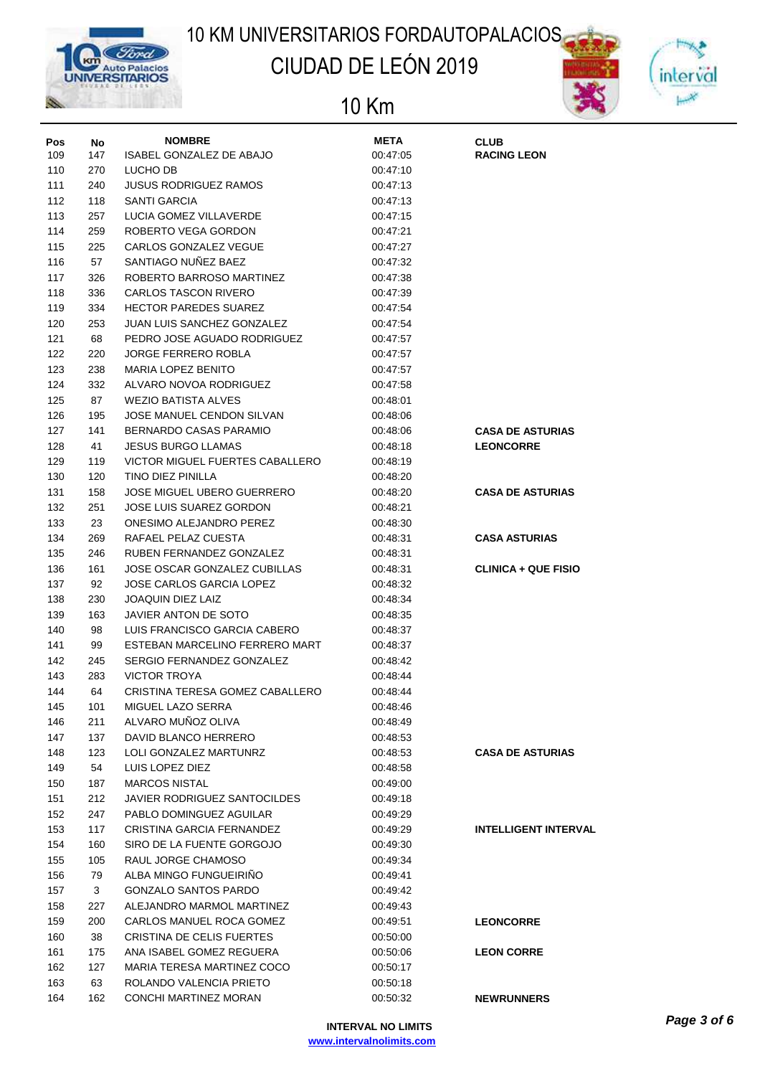

## CIUDAD DE LEÓN 2019



| Pos | No  | <b>NOMBRE</b>                       | <b>META</b> | <b>CLUB</b>                 |
|-----|-----|-------------------------------------|-------------|-----------------------------|
| 109 | 147 | <b>ISABEL GONZALEZ DE ABAJO</b>     | 00:47:05    | <b>RACING LEON</b>          |
| 110 | 270 | LUCHO DB                            | 00:47:10    |                             |
| 111 | 240 | <b>JUSUS RODRIGUEZ RAMOS</b>        | 00:47:13    |                             |
| 112 | 118 | <b>SANTI GARCIA</b>                 | 00:47:13    |                             |
| 113 | 257 | LUCIA GOMEZ VILLAVERDE              | 00:47:15    |                             |
| 114 | 259 | ROBERTO VEGA GORDON                 | 00:47:21    |                             |
| 115 | 225 | CARLOS GONZALEZ VEGUE               | 00:47:27    |                             |
| 116 | 57  | SANTIAGO NUÑEZ BAEZ                 | 00:47:32    |                             |
| 117 | 326 | ROBERTO BARROSO MARTINEZ            | 00:47:38    |                             |
| 118 | 336 | <b>CARLOS TASCON RIVERO</b>         | 00:47:39    |                             |
| 119 | 334 | <b>HECTOR PAREDES SUAREZ</b>        | 00:47:54    |                             |
| 120 | 253 | JUAN LUIS SANCHEZ GONZALEZ          | 00:47:54    |                             |
| 121 | 68  | PEDRO JOSE AGUADO RODRIGUEZ         | 00:47:57    |                             |
| 122 | 220 | <b>JORGE FERRERO ROBLA</b>          | 00:47:57    |                             |
| 123 | 238 | <b>MARIA LOPEZ BENITO</b>           | 00:47:57    |                             |
| 124 | 332 | ALVARO NOVOA RODRIGUEZ              | 00:47:58    |                             |
| 125 | 87  | <b>WEZIO BATISTA ALVES</b>          | 00:48:01    |                             |
| 126 | 195 | JOSE MANUEL CENDON SILVAN           | 00:48:06    |                             |
| 127 | 141 | BERNARDO CASAS PARAMIO              | 00:48:06    | <b>CASA DE ASTURIAS</b>     |
| 128 | 41  | <b>JESUS BURGO LLAMAS</b>           | 00:48:18    | <b>LEONCORRE</b>            |
| 129 | 119 | VICTOR MIGUEL FUERTES CABALLERO     | 00:48:19    |                             |
| 130 | 120 | TINO DIEZ PINILLA                   | 00:48:20    |                             |
|     | 158 | <b>JOSE MIGUEL UBERO GUERRERO</b>   | 00:48:20    |                             |
| 131 |     |                                     |             | <b>CASA DE ASTURIAS</b>     |
| 132 | 251 | JOSE LUIS SUAREZ GORDON             | 00:48:21    |                             |
| 133 | 23  | ONESIMO ALEJANDRO PEREZ             | 00:48:30    |                             |
| 134 | 269 | RAFAEL PELAZ CUESTA                 | 00:48:31    | <b>CASA ASTURIAS</b>        |
| 135 | 246 | RUBEN FERNANDEZ GONZALEZ            | 00:48:31    |                             |
| 136 | 161 | JOSE OSCAR GONZALEZ CUBILLAS        | 00:48:31    | <b>CLINICA + QUE FISIO</b>  |
| 137 | 92  | JOSE CARLOS GARCIA LOPEZ            | 00:48:32    |                             |
| 138 | 230 | <b>JOAQUIN DIEZ LAIZ</b>            | 00:48:34    |                             |
| 139 | 163 | JAVIER ANTON DE SOTO                | 00:48:35    |                             |
| 140 | 98  | LUIS FRANCISCO GARCIA CABERO        | 00:48:37    |                             |
| 141 | 99  | ESTEBAN MARCELINO FERRERO MARTI     | 00:48:37    |                             |
| 142 | 245 | SERGIO FERNANDEZ GONZALEZ           | 00:48:42    |                             |
| 143 | 283 | <b>VICTOR TROYA</b>                 | 00:48:44    |                             |
| 144 | 64  | CRISTINA TERESA GOMEZ CABALLERO     | 00:48:44    |                             |
| 145 | 101 | MIGUEL LAZO SERRA                   | 00:48:46    |                             |
| 146 | 211 | ALVARO MUÑOZ OLIVA                  | 00:48:49    |                             |
| 147 | 137 | DAVID BLANCO HERRERO                | 00:48:53    |                             |
| 148 | 123 | LOLI GONZALEZ MARTUNRZ              | 00:48:53    | <b>CASA DE ASTURIAS</b>     |
| 149 | 54  | LUIS LOPEZ DIEZ                     | 00:48:58    |                             |
| 150 | 187 | <b>MARCOS NISTAL</b>                | 00:49:00    |                             |
| 151 | 212 | <b>JAVIER RODRIGUEZ SANTOCILDES</b> | 00:49:18    |                             |
| 152 | 247 | PABLO DOMINGUEZ AGUILAR             | 00:49:29    |                             |
| 153 | 117 | CRISTINA GARCIA FERNANDEZ           | 00:49:29    | <b>INTELLIGENT INTERVAL</b> |
| 154 | 160 | SIRO DE LA FUENTE GORGOJO           | 00:49:30    |                             |
| 155 | 105 | RAUL JORGE CHAMOSO                  | 00:49:34    |                             |
| 156 | 79  | ALBA MINGO FUNGUEIRIÑO              | 00:49:41    |                             |
| 157 | 3   | <b>GONZALO SANTOS PARDO</b>         | 00:49:42    |                             |
| 158 | 227 | ALEJANDRO MARMOL MARTINEZ           | 00:49:43    |                             |
| 159 | 200 | CARLOS MANUEL ROCA GOMEZ            | 00:49:51    | <b>LEONCORRE</b>            |
| 160 | 38  | CRISTINA DE CELIS FUERTES           | 00:50:00    |                             |
| 161 | 175 | ANA ISABEL GOMEZ REGUERA            | 00:50:06    | <b>LEON CORRE</b>           |
| 162 | 127 | MARIA TERESA MARTINEZ COCO          | 00:50:17    |                             |
| 163 | 63  | ROLANDO VALENCIA PRIETO             | 00:50:18    |                             |
| 164 | 162 | CONCHI MARTINEZ MORAN               | 00:50:32    | <b>NEWRUNNERS</b>           |
|     |     |                                     |             |                             |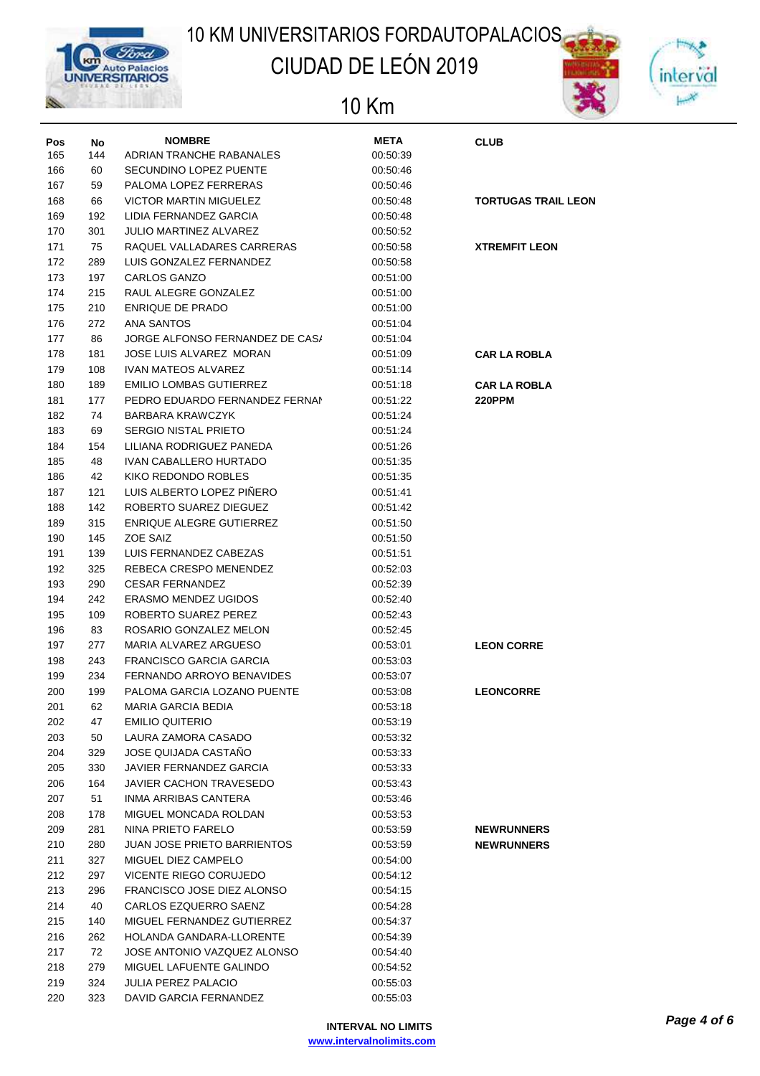

## CIUDAD DE LEÓN 2019





| Pos | No  | <b>NOMBRE</b>                      | <b>META</b> | <b>CLUB</b>                |
|-----|-----|------------------------------------|-------------|----------------------------|
| 165 | 144 | ADRIAN TRANCHE RABANALES           | 00:50:39    |                            |
| 166 | 60  | SECUNDINO LOPEZ PUENTE             | 00:50:46    |                            |
| 167 | 59  | PALOMA LOPEZ FERRERAS              | 00:50:46    |                            |
| 168 | 66  | <b>VICTOR MARTIN MIGUELEZ</b>      | 00:50:48    | <b>TORTUGAS TRAIL LEON</b> |
| 169 | 192 | LIDIA FERNANDEZ GARCIA             | 00:50:48    |                            |
| 170 | 301 | JULIO MARTINEZ ALVAREZ             | 00:50:52    |                            |
| 171 | 75  | RAQUEL VALLADARES CARRERAS         | 00:50:58    | <b>XTREMFIT LEON</b>       |
| 172 | 289 | LUIS GONZALEZ FERNANDEZ            | 00:50:58    |                            |
| 173 | 197 | <b>CARLOS GANZO</b>                | 00:51:00    |                            |
| 174 | 215 | RAUL ALEGRE GONZALEZ               | 00:51:00    |                            |
| 175 | 210 | <b>ENRIQUE DE PRADO</b>            | 00:51:00    |                            |
| 176 | 272 | <b>ANA SANTOS</b>                  | 00:51:04    |                            |
| 177 | 86  | JORGE ALFONSO FERNANDEZ DE CAS/    | 00:51:04    |                            |
| 178 | 181 | JOSE LUIS ALVAREZ MORAN            | 00:51:09    | <b>CAR LA ROBLA</b>        |
| 179 | 108 | <b>IVAN MATEOS ALVAREZ</b>         | 00:51:14    |                            |
| 180 | 189 | <b>EMILIO LOMBAS GUTIERREZ</b>     | 00:51:18    | <b>CAR LA ROBLA</b>        |
| 181 | 177 | PEDRO EDUARDO FERNANDEZ FERNAN     | 00:51:22    | <b>220PPM</b>              |
| 182 | 74  | BARBARA KRAWCZYK                   | 00:51:24    |                            |
| 183 | 69  | <b>SERGIO NISTAL PRIETO</b>        | 00:51:24    |                            |
| 184 | 154 | LILIANA RODRIGUEZ PANEDA           | 00:51:26    |                            |
| 185 | 48  | IVAN CABALLERO HURTADO             | 00:51:35    |                            |
|     | 42  | KIKO REDONDO ROBLES                | 00:51:35    |                            |
| 186 |     | LUIS ALBERTO LOPEZ PIÑERO          |             |                            |
| 187 | 121 |                                    | 00:51:41    |                            |
| 188 | 142 | ROBERTO SUAREZ DIEGUEZ             | 00:51:42    |                            |
| 189 | 315 | ENRIQUE ALEGRE GUTIERREZ           | 00:51:50    |                            |
| 190 | 145 | ZOE SAIZ                           | 00:51:50    |                            |
| 191 | 139 | LUIS FERNANDEZ CABEZAS             | 00:51:51    |                            |
| 192 | 325 | REBECA CRESPO MENENDEZ             | 00:52:03    |                            |
| 193 | 290 | <b>CESAR FERNANDEZ</b>             | 00:52:39    |                            |
| 194 | 242 | <b>ERASMO MENDEZ UGIDOS</b>        | 00:52:40    |                            |
| 195 | 109 | ROBERTO SUAREZ PEREZ               | 00:52:43    |                            |
| 196 | 83  | ROSARIO GONZALEZ MELON             | 00:52:45    |                            |
| 197 | 277 | MARIA ALVAREZ ARGUESO              | 00:53:01    | <b>LEON CORRE</b>          |
| 198 | 243 | <b>FRANCISCO GARCIA GARCIA</b>     | 00:53:03    |                            |
| 199 | 234 | FERNANDO ARROYO BENAVIDES          | 00:53:07    |                            |
| 200 | 199 | PALOMA GARCIA LOZANO PUENTE        | 00:53:08    | <b>LEONCORRE</b>           |
| 201 | 62  | MARIA GARCIA BEDIA                 | 00:53:18    |                            |
| 202 | 47  | <b>EMILIO QUITERIO</b>             | 00:53:19    |                            |
| 203 | 50  | LAURA ZAMORA CASADO                | 00:53:32    |                            |
| 204 | 329 | JOSE QUIJADA CASTAÑO               | 00:53:33    |                            |
| 205 | 330 | JAVIER FERNANDEZ GARCIA            | 00:53:33    |                            |
| 206 | 164 | JAVIER CACHON TRAVESEDO            | 00:53:43    |                            |
| 207 | 51  | INMA ARRIBAS CANTERA               | 00:53:46    |                            |
| 208 | 178 | MIGUEL MONCADA ROLDAN              | 00:53:53    |                            |
| 209 | 281 | NINA PRIETO FARELO                 | 00:53:59    | <b>NEWRUNNERS</b>          |
| 210 | 280 | <b>JUAN JOSE PRIETO BARRIENTOS</b> | 00:53:59    | <b>NEWRUNNERS</b>          |
| 211 | 327 | MIGUEL DIEZ CAMPELO                | 00:54:00    |                            |
| 212 | 297 | VICENTE RIEGO CORUJEDO             | 00:54:12    |                            |
| 213 | 296 | FRANCISCO JOSE DIEZ ALONSO         | 00:54:15    |                            |
| 214 | 40  | CARLOS EZQUERRO SAENZ              | 00:54:28    |                            |
| 215 | 140 | MIGUEL FERNANDEZ GUTIERREZ         | 00:54:37    |                            |
| 216 | 262 | HOLANDA GANDARA-LLORENTE           | 00:54:39    |                            |
| 217 | 72  | JOSE ANTONIO VAZQUEZ ALONSO        | 00:54:40    |                            |
| 218 | 279 | MIGUEL LAFUENTE GALINDO            | 00:54:52    |                            |
| 219 | 324 | <b>JULIA PEREZ PALACIO</b>         | 00:55:03    |                            |
| 220 | 323 | DAVID GARCIA FERNANDEZ             | 00:55:03    |                            |
|     |     |                                    |             |                            |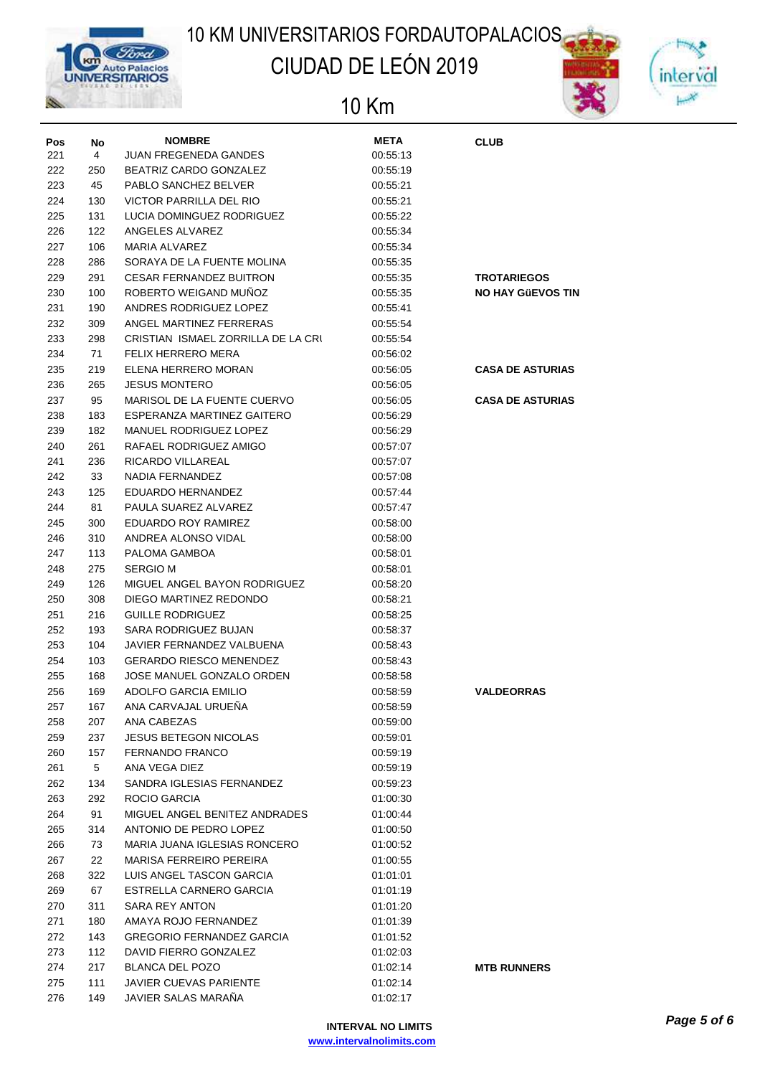

## CIUDAD DE LEÓN 2019



| Pos        | No         | <b>NOMBRE</b>                                            | <b>META</b>          | <b>CLUB</b>              |
|------------|------------|----------------------------------------------------------|----------------------|--------------------------|
| 221        | 4          | <b>JUAN FREGENEDA GANDES</b>                             | 00:55:13             |                          |
| 222        | 250        | BEATRIZ CARDO GONZALEZ                                   | 00:55:19             |                          |
| 223        | 45         | PABLO SANCHEZ BELVER                                     | 00:55:21             |                          |
| 224        | 130        | <b>VICTOR PARRILLA DEL RIO</b>                           | 00:55:21             |                          |
| 225        | 131        | LUCIA DOMINGUEZ RODRIGUEZ                                | 00:55:22             |                          |
| 226        | 122        | ANGELES ALVAREZ                                          | 00:55:34             |                          |
| 227        | 106        | <b>MARIA ALVAREZ</b>                                     | 00:55:34             |                          |
| 228        | 286        | SORAYA DE LA FUENTE MOLINA                               | 00:55:35             |                          |
| 229        | 291        | <b>CESAR FERNANDEZ BUITRON</b>                           | 00:55:35             | <b>TROTARIEGOS</b>       |
| 230        | 100        | ROBERTO WEIGAND MUÑOZ                                    | 00:55:35             | <b>NO HAY GÜEVOS TIN</b> |
| 231        | 190        | ANDRES RODRIGUEZ LOPEZ                                   | 00:55:41             |                          |
| 232        | 309        | ANGEL MARTINEZ FERRERAS                                  | 00:55:54             |                          |
| 233        | 298        | CRISTIAN ISMAEL ZORRILLA DE LA CRU                       | 00:55:54             |                          |
| 234        | 71         | <b>FELIX HERRERO MERA</b>                                | 00:56:02             |                          |
| 235        | 219        | ELENA HERRERO MORAN                                      | 00:56:05             | <b>CASA DE ASTURIAS</b>  |
| 236        | 265        | <b>JESUS MONTERO</b>                                     | 00:56:05             |                          |
| 237        | 95         | MARISOL DE LA FUENTE CUERVO                              | 00:56:05             | <b>CASA DE ASTURIAS</b>  |
| 238        | 183        | ESPERANZA MARTINEZ GAITERO                               | 00:56:29             |                          |
| 239        | 182        | MANUEL RODRIGUEZ LOPEZ                                   | 00:56:29             |                          |
| 240        | 261        | RAFAEL RODRIGUEZ AMIGO                                   | 00:57:07             |                          |
| 241        | 236        | RICARDO VILLAREAL                                        | 00:57:07             |                          |
| 242        | 33         | NADIA FERNANDEZ                                          | 00:57:08             |                          |
| 243        | 125        | EDUARDO HERNANDEZ                                        | 00:57:44             |                          |
| 244        | 81         | PAULA SUAREZ ALVAREZ                                     | 00:57:47             |                          |
| 245        | 300        | EDUARDO ROY RAMIREZ                                      | 00:58:00             |                          |
| 246        | 310        | ANDREA ALONSO VIDAL                                      | 00:58:00             |                          |
| 247        | 113        | PALOMA GAMBOA                                            | 00:58:01             |                          |
| 248        | 275        | <b>SERGIO M</b>                                          | 00:58:01             |                          |
| 249        | 126        | MIGUEL ANGEL BAYON RODRIGUEZ                             | 00:58:20             |                          |
| 250        | 308        | DIEGO MARTINEZ REDONDO                                   | 00:58:21             |                          |
| 251        | 216        | <b>GUILLE RODRIGUEZ</b>                                  | 00:58:25             |                          |
| 252        | 193        | SARA RODRIGUEZ BUJAN                                     | 00:58:37             |                          |
| 253        | 104        | JAVIER FERNANDEZ VALBUENA                                | 00:58:43             |                          |
| 254        | 103        | <b>GERARDO RIESCO MENENDEZ</b>                           | 00:58:43             |                          |
| 255        | 168        | JOSE MANUEL GONZALO ORDEN                                | 00:58:58             |                          |
| 256        | 169        | <b>ADOLFO GARCIA EMILIO</b>                              | 00:58:59             | <b>VALDEORRAS</b>        |
| 257        | 167        | ANA CARVAJAL URUEÑA                                      | 00:58:59             |                          |
| 258        | 207        | ANA CABEZAS                                              | 00:59:00             |                          |
| 259        | 237        | <b>JESUS BETEGON NICOLAS</b>                             | 00:59:01             |                          |
| 260        | 157        | FERNANDO FRANCO                                          | 00:59:19             |                          |
| 261        | 5          | ANA VEGA DIEZ                                            | 00:59:19             |                          |
| 262        | 134        | SANDRA IGLESIAS FERNANDEZ                                | 00:59:23             |                          |
| 263        | 292        | ROCIO GARCIA                                             | 01:00:30             |                          |
| 264        | 91         | MIGUEL ANGEL BENITEZ ANDRADES                            | 01:00:44             |                          |
| 265        | 314        | ANTONIO DE PEDRO LOPEZ                                   | 01:00:50             |                          |
| 266        | 73         | MARIA JUANA IGLESIAS RONCERO                             | 01:00:52             |                          |
| 267        | 22         | MARISA FERREIRO PEREIRA                                  | 01:00:55             |                          |
| 268        | 322        | LUIS ANGEL TASCON GARCIA                                 | 01:01:01             |                          |
| 269        | 67<br>311  | ESTRELLA CARNERO GARCIA                                  | 01:01:19             |                          |
| 270        |            | SARA REY ANTON                                           | 01:01:20             |                          |
| 271        | 180        | AMAYA ROJO FERNANDEZ<br><b>GREGORIO FERNANDEZ GARCIA</b> | 01:01:39             |                          |
| 272        | 143        |                                                          | 01:01:52             |                          |
| 273<br>274 | 112<br>217 | DAVID FIERRO GONZALEZ<br>BLANCA DEL POZO                 | 01:02:03<br>01:02:14 |                          |
| 275        | 111        | <b>JAVIER CUEVAS PARIENTE</b>                            | 01:02:14             | <b>MTB RUNNERS</b>       |
| 276        | 149        | JAVIER SALAS MARAÑA                                      | 01:02:17             |                          |
|            |            |                                                          |                      |                          |